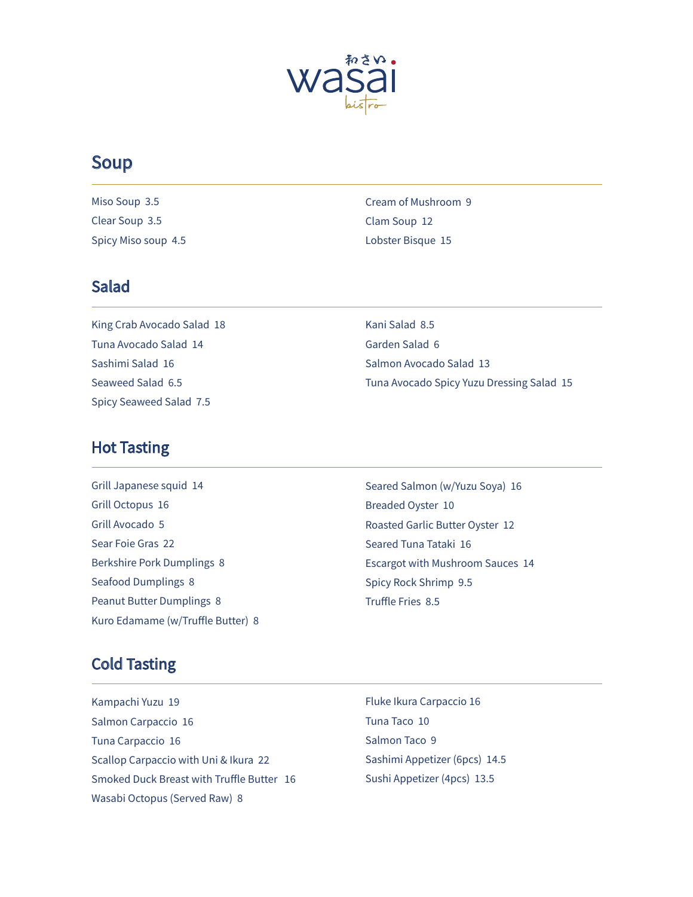

# **Soup**

Miso Soup 3.5 Clear Soup 3.5 Spicy Miso soup 4.5

Cream of Mushroom 9 Clam Soup 12 Lobster Bisque 15

### **Salad**

King Crab Avocado Salad 18 Tuna Avocado Salad 14 Sashimi Salad 16 Seaweed Salad 6.5 Spicy Seaweed Salad 7.5

Kani Salad 8.5 Garden Salad 6 Salmon Avocado Salad 13 Tuna Avocado Spicy Yuzu Dressing Salad 15

### **Hot Tasting**

Grill Japanese squid 14 Grill Octopus 16 Grill Avocado 5 Sear Foie Gras 22 **Berkshire Pork Dumplings 8** Seafood Dumplings 8 **Peanut Butter Dumplings 8** Kuro Edamame (w/Truffle Butter) 8 Seared Salmon (w/Yuzu Soya) 16 Breaded Oyster 10 Roasted Garlic Butter Oyster 12 Seared Tuna Tataki 16 Escargot with Mushroom Sauces 14 Spicy Rock Shrimp 9.5 Truffle Fries 8.5

# **Cold Tasting**

Kampachi Yuzu 19 Salmon Carpaccio 16 Tuna Carpaccio 16 Scallop Carpaccio with Uni & Ikura 22 Smoked Duck Breast with Truffle Butter 16 Wasabi Octopus (Served Raw) 8

Fluke Ikura Carpaccio 16 Tuna Taco 10 Salmon Taco 9 Sashimi Appetizer (6pcs) 14.5 Sushi Appetizer (4pcs) 13.5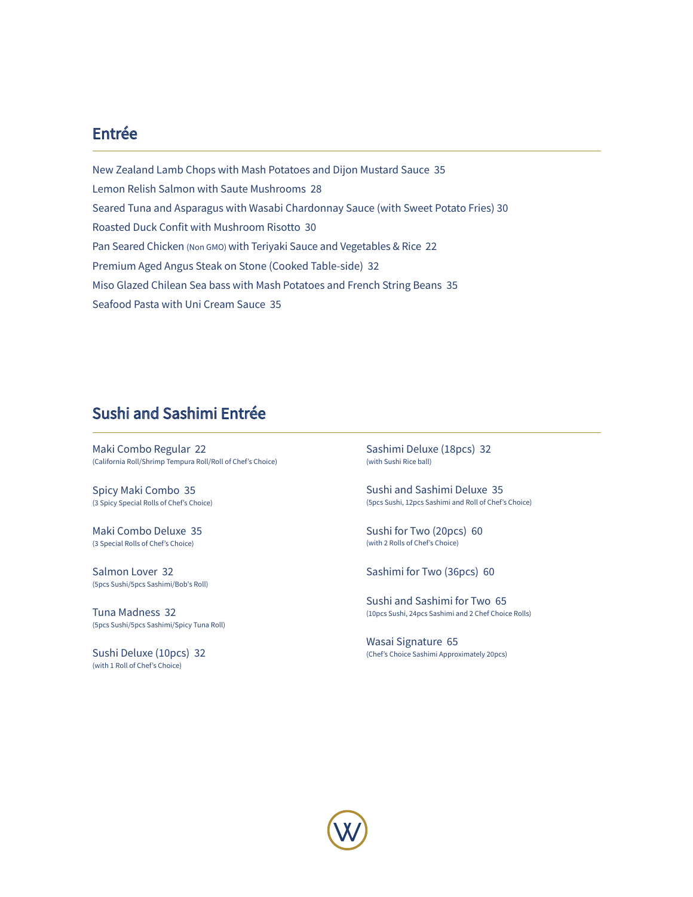### Entrée

New Zealand Lamb Chops with Mash Potatoes and Dijon Mustard Sauce 35 Lemon Relish Salmon with Saute Mushrooms 28 Seared Tuna and Asparagus with Wasabi Chardonnay Sauce (with Sweet Potato Fries) 30 Roasted Duck Confit with Mushroom Risotto 30 Pan Seared Chicken (Non GMO) with Teriyaki Sauce and Vegetables & Rice 22 Premium Aged Angus Steak on Stone (Cooked Table-side) 32 Miso Glazed Chilean Sea bass with Mash Potatoes and French String Beans 35 Seafood Pasta with Uni Cream Sauce 35

### Sushi and Sashimi Entrée

Maki Combo Regular 22 (California Roll/Shrimp Tempura Roll/Roll of Chef's Choice)

Spicy Maki Combo 35 (3 Spicy Special Rolls of Chef's Choice)

Maki Combo Deluxe 35 (3 Special Rolls of Chef's Choice)

Salmon Lover 32 (5pcs Sushi/5pcs Sashimi/Bob's Roll)

Tuna Madness 32 (5pcs Sushi/5pcs Sashimi/Spicy Tuna Roll)

Sushi Deluxe (10pcs) 32 (with 1 Roll of Chef's Choice)

Sashimi Deluxe (18pcs) 32 (with Sushi Rice ball)

Sushi and Sashimi Deluxe 35 (5pcs Sushi, 12pcs Sashimi and Roll of Chef's Choice)

Sushi for Two (20pcs) 60 (with 2 Rolls of Chef's Choice)

Sashimi for Two (36pcs) 60

Sushi and Sashimi for Two 65 (10pcs Sushi, 24pcs Sashimi and 2 Chef Choice Rolls)

Wasai Signature 65 (Chef's Choice Sashimi Approximately 20pcs)

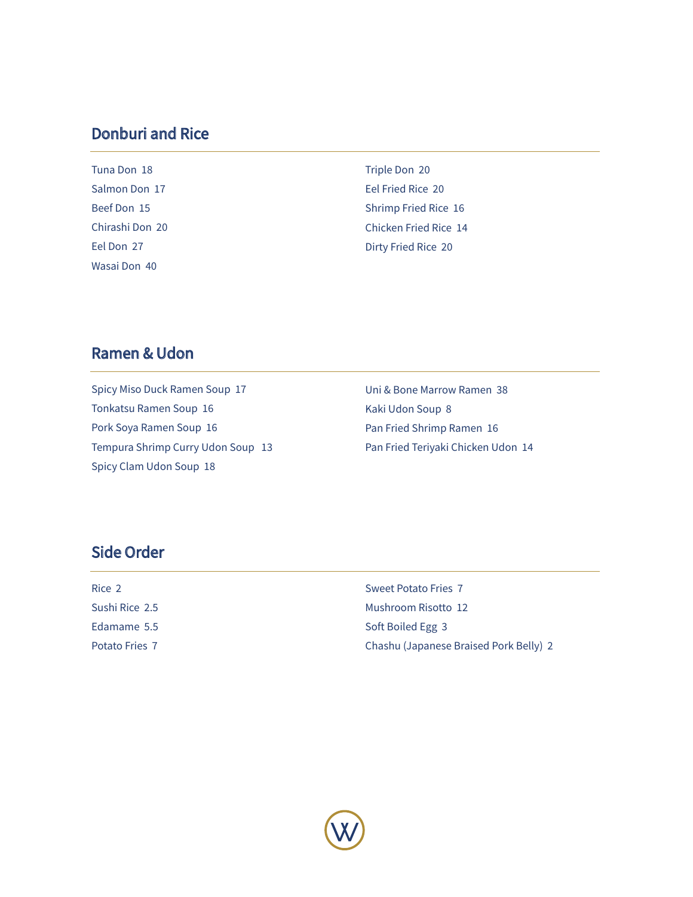## **Donburi and Rice**

Tuna Don 18 Salmon Don 17 Beef Don 15 Chirashi Don 20 Eel Don 27 Wasai Don 40

Triple Don 20 Eel Fried Rice 20 Shrimp Fried Rice 16 Chicken Fried Rice 14 Dirty Fried Rice 20

## **Ramen & Udon**

Spicy Miso Duck Ramen Soup 17 Tonkatsu Ramen Soup 16 Pork Soya Ramen Soup 16 Tempura Shrimp Curry Udon Soup 13 Spicy Clam Udon Soup 18

Uni & Bone Marrow Ramen 38 Kaki Udon Soup 8 Pan Fried Shrimp Ramen 16 Pan Fried Teriyaki Chicken Udon 14

# **Side Order**

| Rice 2         | Sweet Potato Fries 7                   |
|----------------|----------------------------------------|
| Sushi Rice 2.5 | Mushroom Risotto 12                    |
| Edamame 5.5    | Soft Boiled Egg 3                      |
| Potato Fries 7 | Chashu (Japanese Braised Pork Belly) 2 |
|                |                                        |

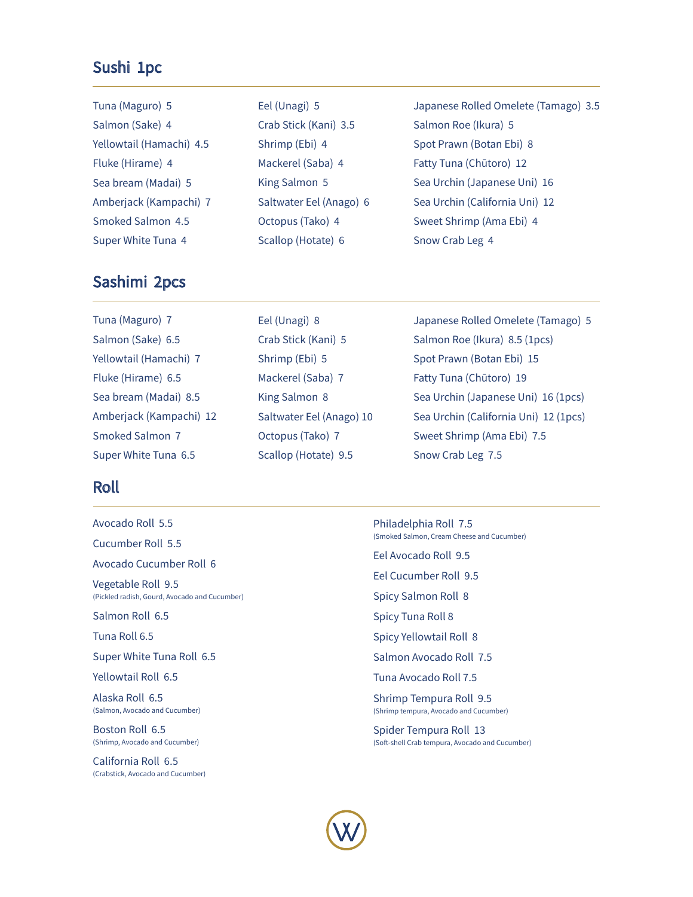#### Sushi 1pc

| Tuna (Maguro) 5          | Eel (Unagi) 5           | Japanese Rolled Omelete (Tamago) 3.5 |
|--------------------------|-------------------------|--------------------------------------|
| Salmon (Sake) 4          | Crab Stick (Kani) 3.5   | Salmon Roe (Ikura) 5                 |
| Yellowtail (Hamachi) 4.5 | Shrimp (Ebi) 4          | Spot Prawn (Botan Ebi) 8             |
| Fluke (Hirame) 4         | Mackerel (Saba) 4       | Fatty Tuna (Chūtoro) 12              |
| Sea bream (Madai) 5      | King Salmon 5           | Sea Urchin (Japanese Uni) 16         |
| Amberjack (Kampachi) 7   | Saltwater Eel (Anago) 6 | Sea Urchin (California Uni) 12       |
| Smoked Salmon 4.5        | Octopus (Tako) 4        | Sweet Shrimp (Ama Ebi) 4             |
| Super White Tuna 4       | Scallop (Hotate) 6      | Snow Crab Leg 4                      |

### Sashimi 2pcs

Tuna (Maguro) 7 Salmon (Sake) 6.5 Yellowtail (Hamachi) 7 Fluke (Hirame) 6.5 Sea bream (Madai) 8.5 Amberjack (Kampachi) 12 Smoked Salmon 7 Super White Tuna 6.5

### **Roll**

- Avocado Roll 5.5
- Cucumber Roll 5.5
- Avocado Cucumber Roll 6
- Vegetable Roll 9.5 (Pickled radish, Gourd, Avocado and Cucumber)
- Salmon Roll 6.5
- Tuna Roll 6.5
- Super White Tuna Roll 6.5
- **Yellowtail Roll 6.5**
- Alaska Roll 6.5 (Salmon, Avocado and Cucumber)
- Boston Roll 6.5 (Shrimp, Avocado and Cucumber)
- California Roll 6.5 (Crabstick, Avocado and Cucumber)
- Eel (Unagi) 8 Crab Stick (Kani) 5 Shrimp (Ebi) 5 Mackerel (Saba) 7 King Salmon 8 Saltwater Eel (Anago) 10 Octopus (Tako) 7 Scallop (Hotate) 9.5
- 
- Japanese Rolled Omelete (Tamago) 5 Salmon Roe (Ikura) 8.5 (1pcs) Spot Prawn (Botan Ebi) 15 Fatty Tuna (Chūtoro) 19 Sea Urchin (Japanese Uni) 16 (1pcs) Sea Urchin (California Uni) 12 (1pcs) Sweet Shrimp (Ama Ebi) 7.5 Snow Crab Leg 7.5
- Philadelphia Roll 7.5 (Smoked Salmon, Cream Cheese and Cucumber) Eel Avocado Roll 9.5 Eel Cucumber Roll 9.5 Spicy Salmon Roll 8
- Spicy Tuna Roll 8
- Spicy Yellowtail Roll 8
- Salmon Avocado Roll 7.5
- Tuna Avocado Roll 7.5
- Shrimp Tempura Roll 9.5 (Shrimp tempura, Avocado and Cucumber)
- Spider Tempura Roll 13 (Soft-shell Crab tempura, Avocado and Cucumber)

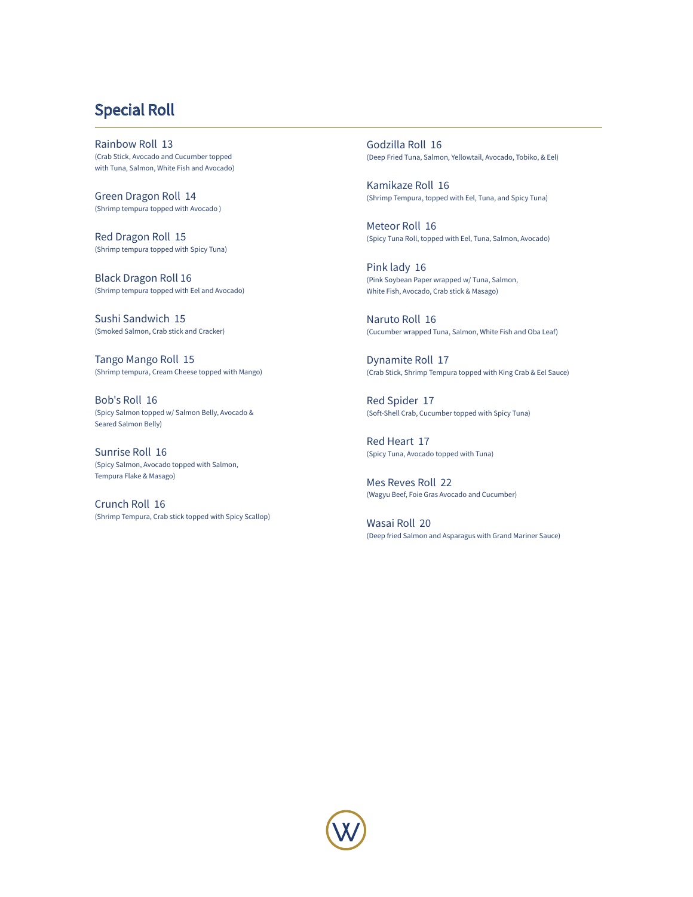## Special Roll

Rainbow Roll 13 (Crab Stick, Avocado and Cucumber topped with Tuna, Salmon, White Fish and Avocado)

Green Dragon Roll 14 (Shrimp tempura topped with Avocado )

Red Dragon Roll 15 (Shrimp tempura topped with Spicy Tuna)

Black Dragon Roll 16 (Shrimp tempura topped with Eel and Avocado)

Sushi Sandwich 15 (Smoked Salmon, Crab stick and Cracker)

Tango Mango Roll 15 (Shrimp tempura, Cream Cheese topped with Mango)

Bob's Roll 16 (Spicy Salmon topped w/ Salmon Belly, Avocado & Seared Salmon Belly)

Sunrise Roll 16 (Spicy Salmon, Avocado topped with Salmon, Tempura Flake & Masago)

Crunch Roll 16 (Shrimp Tempura, Crab stick topped with Spicy Scallop)

Godzilla Roll 16 (Deep Fried Tuna, Salmon, Yellowtail, Avocado, Tobiko, & Eel)

Kamikaze Roll 16 (Shrimp Tempura, topped with Eel, Tuna, and Spicy Tuna)

Meteor Roll 16 (Spicy Tuna Roll, topped with Eel, Tuna, Salmon, Avocado)

Pink lady 16 (Pink Soybean Paper wrapped w/ Tuna, Salmon, White Fish, Avocado, Crab stick & Masago)

Naruto Roll 16 (Cucumber wrapped Tuna, Salmon, White Fish and Oba Leaf)

Dynamite Roll 17 (Crab Stick, Shrimp Tempura topped with King Crab & Eel Sauce)

Red Spider 17 (Soft-Shell Crab, Cucumber topped with Spicy Tuna)

Red Heart 17 (Spicy Tuna, Avocado topped with Tuna)

Mes Reves Roll 22 (Wagyu Beef, Foie Gras Avocado and Cucumber)

Wasai Roll 20 (Deep fried Salmon and Asparagus with Grand Mariner Sauce)

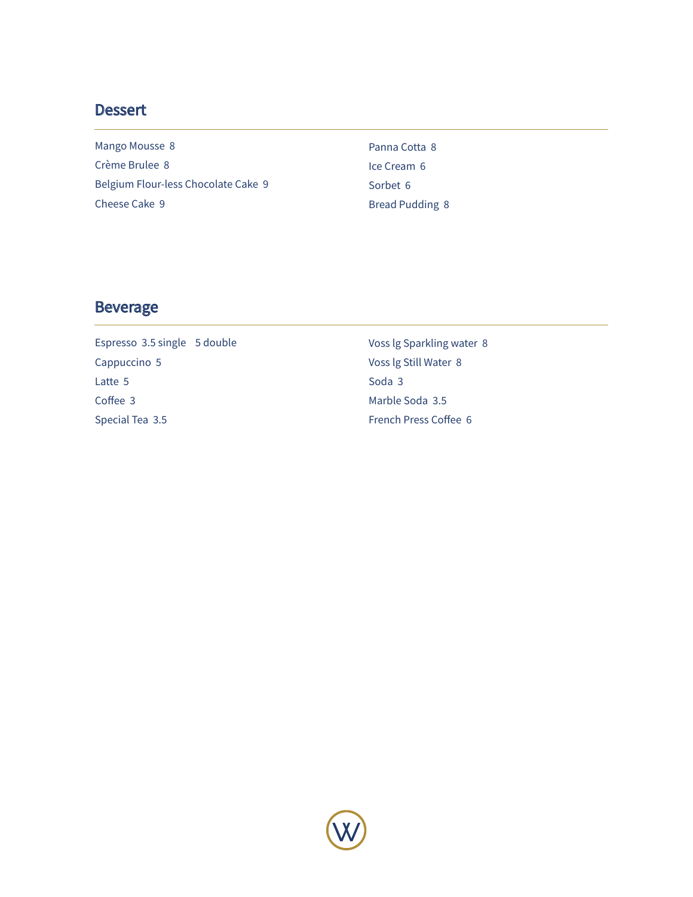### **Dessert**

Mango Mousse 8 Crème Brulee 8 Belgium Flour-less Chocolate Cake 9 Cheese Cake 9

Panna Cotta 8 Ice Cream 6 Sorbet 6 **Bread Pudding 8** 

### **Beverage**

Espresso 3.5 single 5 double Cappuccino 5 Latte 5 Coffee 3 Special Tea 3.5

Voss Ig Sparkling water 8 Voss lg Still Water 8 Soda 3 Marble Soda 3.5 French Press Coffee 6